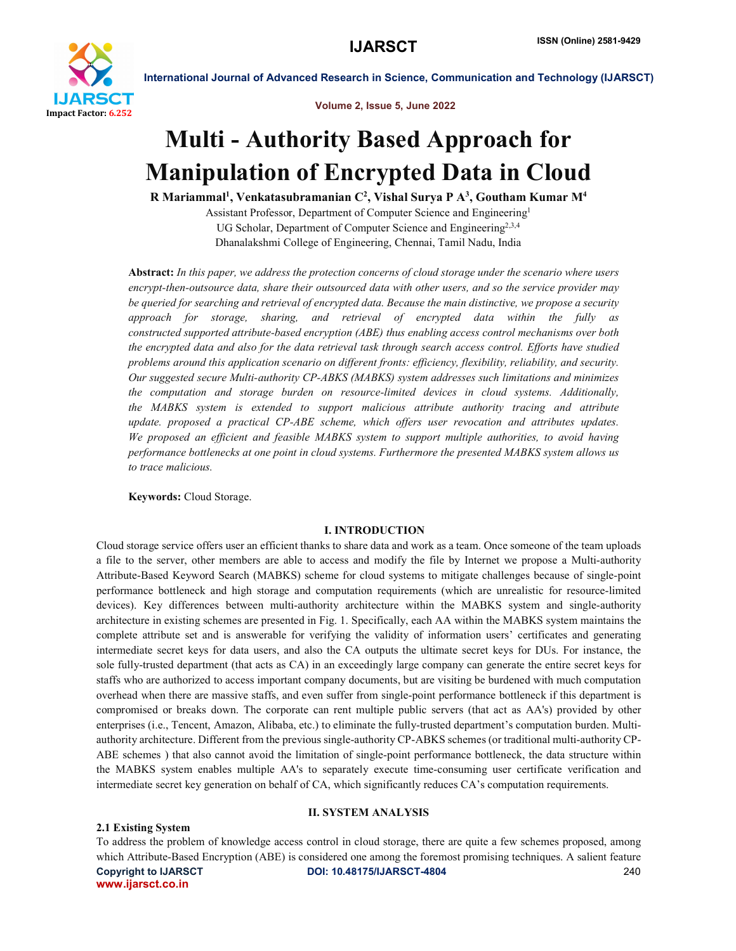

Volume 2, Issue 5, June 2022

# Multi - Authority Based Approach for Manipulation of Encrypted Data in Cloud

R Mariammal<sup>1</sup>, Venkatasubramanian C<sup>2</sup>, Vishal Surya P A<sup>3</sup>, Goutham Kumar M<sup>4</sup>

Assistant Professor, Department of Computer Science and Engineering1 UG Scholar, Department of Computer Science and Engineering<sup>2,3,4</sup> Dhanalakshmi College of Engineering, Chennai, Tamil Nadu, India

Abstract: *In this paper, we address the protection concerns of cloud storage under the scenario where users encrypt-then-outsource data, share their outsourced data with other users, and so the service provider may be queried for searching and retrieval of encrypted data. Because the main distinctive, we propose a security approach for storage, sharing, and retrieval of encrypted data within the fully as constructed supported attribute-based encryption (ABE) thus enabling access control mechanisms over both the encrypted data and also for the data retrieval task through search access control. Efforts have studied problems around this application scenario on different fronts: efficiency, flexibility, reliability, and security. Our suggested secure Multi-authority CP-ABKS (MABKS) system addresses such limitations and minimizes the computation and storage burden on resource-limited devices in cloud systems. Additionally, the MABKS system is extended to support malicious attribute authority tracing and attribute update. proposed a practical CP-ABE scheme, which offers user revocation and attributes updates. We proposed an efficient and feasible MABKS system to support multiple authorities, to avoid having performance bottlenecks at one point in cloud systems. Furthermore the presented MABKS system allows us to trace malicious.*

Keywords: Cloud Storage.

## I. INTRODUCTION

Cloud storage service offers user an efficient thanks to share data and work as a team. Once someone of the team uploads a file to the server, other members are able to access and modify the file by Internet we propose a Multi-authority Attribute-Based Keyword Search (MABKS) scheme for cloud systems to mitigate challenges because of single-point performance bottleneck and high storage and computation requirements (which are unrealistic for resource-limited devices). Key differences between multi-authority architecture within the MABKS system and single-authority architecture in existing schemes are presented in Fig. 1. Specifically, each AA within the MABKS system maintains the complete attribute set and is answerable for verifying the validity of information users' certificates and generating intermediate secret keys for data users, and also the CA outputs the ultimate secret keys for DUs. For instance, the sole fully-trusted department (that acts as CA) in an exceedingly large company can generate the entire secret keys for staffs who are authorized to access important company documents, but are visiting be burdened with much computation overhead when there are massive staffs, and even suffer from single-point performance bottleneck if this department is compromised or breaks down. The corporate can rent multiple public servers (that act as AA's) provided by other enterprises (i.e., Tencent, Amazon, Alibaba, etc.) to eliminate the fully-trusted department's computation burden. Multiauthority architecture. Different from the previous single-authority CP-ABKS schemes (or traditional multi-authority CP-ABE schemes ) that also cannot avoid the limitation of single-point performance bottleneck, the data structure within the MABKS system enables multiple AA's to separately execute time-consuming user certificate verification and intermediate secret key generation on behalf of CA, which significantly reduces CA's computation requirements.

# II. SYSTEM ANALYSIS

## 2.1 Existing System

Copyright to IJARSCT DOI: 10.48175/IJARSCT-4804 240 www.ijarsct.co.in To address the problem of knowledge access control in cloud storage, there are quite a few schemes proposed, among which Attribute-Based Encryption (ABE) is considered one among the foremost promising techniques. A salient feature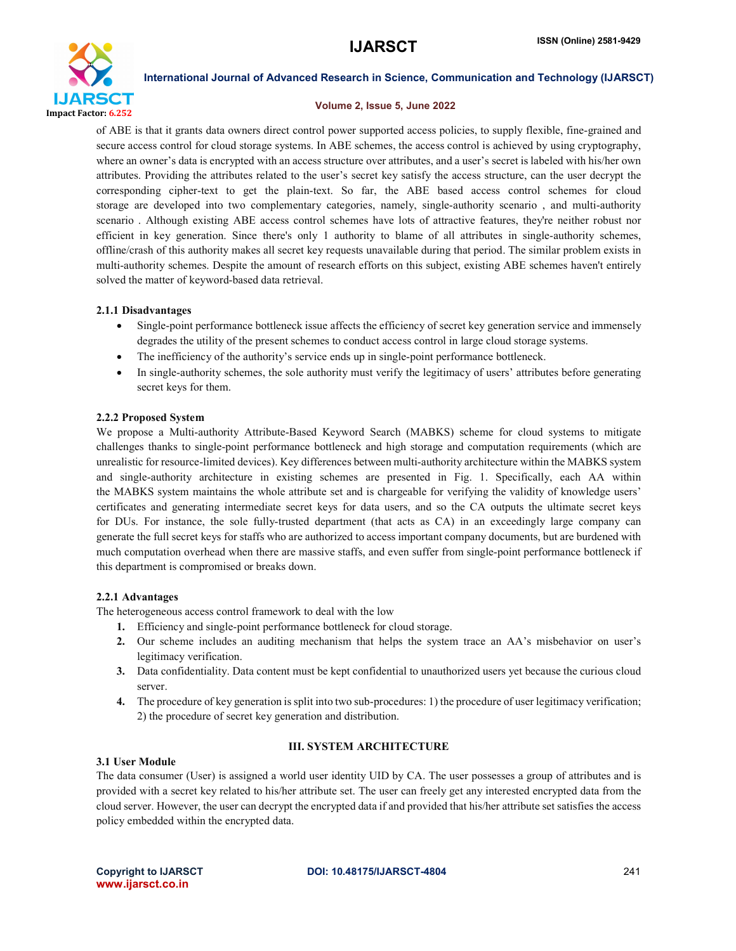

### Volume 2, Issue 5, June 2022

of ABE is that it grants data owners direct control power supported access policies, to supply flexible, fine-grained and secure access control for cloud storage systems. In ABE schemes, the access control is achieved by using cryptography, where an owner's data is encrypted with an access structure over attributes, and a user's secret is labeled with his/her own attributes. Providing the attributes related to the user's secret key satisfy the access structure, can the user decrypt the corresponding cipher-text to get the plain-text. So far, the ABE based access control schemes for cloud storage are developed into two complementary categories, namely, single-authority scenario , and multi-authority scenario . Although existing ABE access control schemes have lots of attractive features, they're neither robust nor efficient in key generation. Since there's only 1 authority to blame of all attributes in single-authority schemes, offline/crash of this authority makes all secret key requests unavailable during that period. The similar problem exists in multi-authority schemes. Despite the amount of research efforts on this subject, existing ABE schemes haven't entirely solved the matter of keyword-based data retrieval.

## 2.1.1 Disadvantages

- Single-point performance bottleneck issue affects the efficiency of secret key generation service and immensely degrades the utility of the present schemes to conduct access control in large cloud storage systems.
- The inefficiency of the authority's service ends up in single-point performance bottleneck.
- In single-authority schemes, the sole authority must verify the legitimacy of users' attributes before generating secret keys for them.

# 2.2.2 Proposed System

We propose a Multi-authority Attribute-Based Keyword Search (MABKS) scheme for cloud systems to mitigate challenges thanks to single-point performance bottleneck and high storage and computation requirements (which are unrealistic for resource-limited devices). Key differences between multi-authority architecture within the MABKS system and single-authority architecture in existing schemes are presented in Fig. 1. Specifically, each AA within the MABKS system maintains the whole attribute set and is chargeable for verifying the validity of knowledge users' certificates and generating intermediate secret keys for data users, and so the CA outputs the ultimate secret keys for DUs. For instance, the sole fully-trusted department (that acts as CA) in an exceedingly large company can generate the full secret keys for staffs who are authorized to access important company documents, but are burdened with much computation overhead when there are massive staffs, and even suffer from single-point performance bottleneck if this department is compromised or breaks down.

# 2.2.1 Advantages

The heterogeneous access control framework to deal with the low

- 1. Efficiency and single-point performance bottleneck for cloud storage.
- 2. Our scheme includes an auditing mechanism that helps the system trace an AA's misbehavior on user's legitimacy verification.
- 3. Data confidentiality. Data content must be kept confidential to unauthorized users yet because the curious cloud server.
- 4. The procedure of key generation is split into two sub-procedures: 1) the procedure of user legitimacy verification; 2) the procedure of secret key generation and distribution.

# III. SYSTEM ARCHITECTURE

## 3.1 User Module

The data consumer (User) is assigned a world user identity UID by CA. The user possesses a group of attributes and is provided with a secret key related to his/her attribute set. The user can freely get any interested encrypted data from the cloud server. However, the user can decrypt the encrypted data if and provided that his/her attribute set satisfies the access policy embedded within the encrypted data.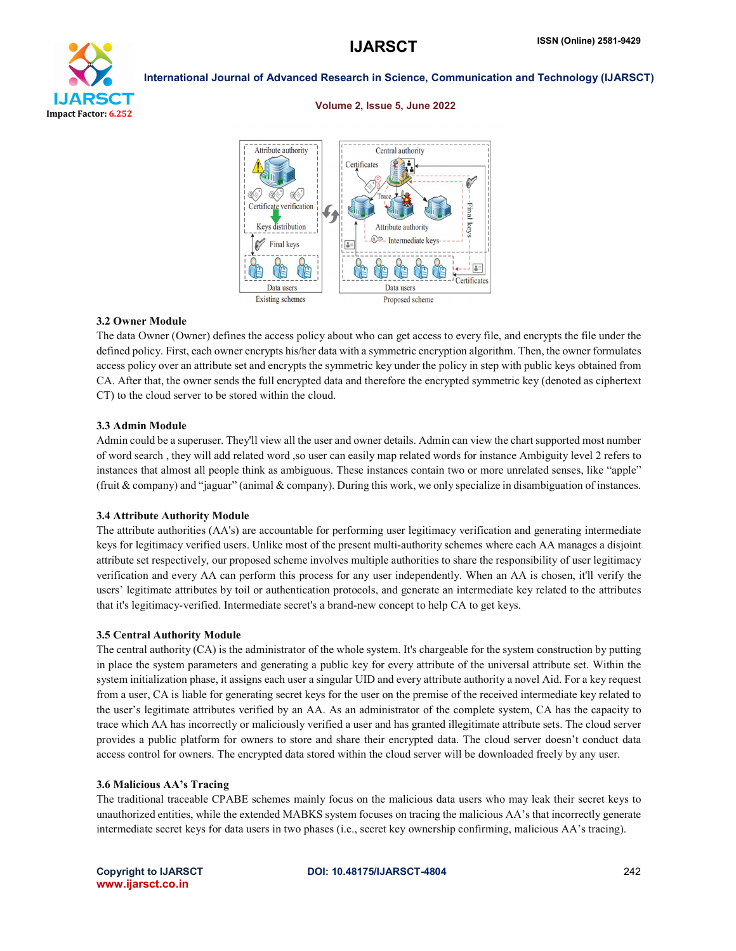

### Volume 2, Issue 5, June 2022



### 3.2 Owner Module

The data Owner (Owner) defines the access policy about who can get access to every file, and encrypts the file under the defined policy. First, each owner encrypts his/her data with a symmetric encryption algorithm. Then, the owner formulates access policy over an attribute set and encrypts the symmetric key under the policy in step with public keys obtained from CA. After that, the owner sends the full encrypted data and therefore the encrypted symmetric key (denoted as ciphertext CT) to the cloud server to be stored within the cloud.

### 3.3 Admin Module

Admin could be a superuser. They'll view all the user and owner details. Admin can view the chart supported most number of word search , they will add related word ,so user can easily map related words for instance Ambiguity level 2 refers to instances that almost all people think as ambiguous. These instances contain two or more unrelated senses, like "apple" (fruit & company) and "jaguar" (animal & company). During this work, we only specialize in disambiguation of instances.

### 3.4 Attribute Authority Module

The attribute authorities (AA's) are accountable for performing user legitimacy verification and generating intermediate keys for legitimacy verified users. Unlike most of the present multi-authority schemes where each AA manages a disjoint attribute set respectively, our proposed scheme involves multiple authorities to share the responsibility of user legitimacy verification and every AA can perform this process for any user independently. When an AA is chosen, it'll verify the users' legitimate attributes by toil or authentication protocols, and generate an intermediate key related to the attributes that it's legitimacy-verified. Intermediate secret's a brand-new concept to help CA to get keys.

### 3.5 Central Authority Module

The central authority (CA) is the administrator of the whole system. It's chargeable for the system construction by putting in place the system parameters and generating a public key for every attribute of the universal attribute set. Within the system initialization phase, it assigns each user a singular UID and every attribute authority a novel Aid. For a key request from a user, CA is liable for generating secret keys for the user on the premise of the received intermediate key related to the user's legitimate attributes verified by an AA. As an administrator of the complete system, CA has the capacity to trace which AA has incorrectly or maliciously verified a user and has granted illegitimate attribute sets. The cloud server provides a public platform for owners to store and share their encrypted data. The cloud server doesn't conduct data access control for owners. The encrypted data stored within the cloud server will be downloaded freely by any user.

### 3.6 Malicious AA's Tracing

The traditional traceable CPABE schemes mainly focus on the malicious data users who may leak their secret keys to unauthorized entities, while the extended MABKS system focuses on tracing the malicious AA's that incorrectly generate intermediate secret keys for data users in two phases (i.e., secret key ownership confirming, malicious AA's tracing).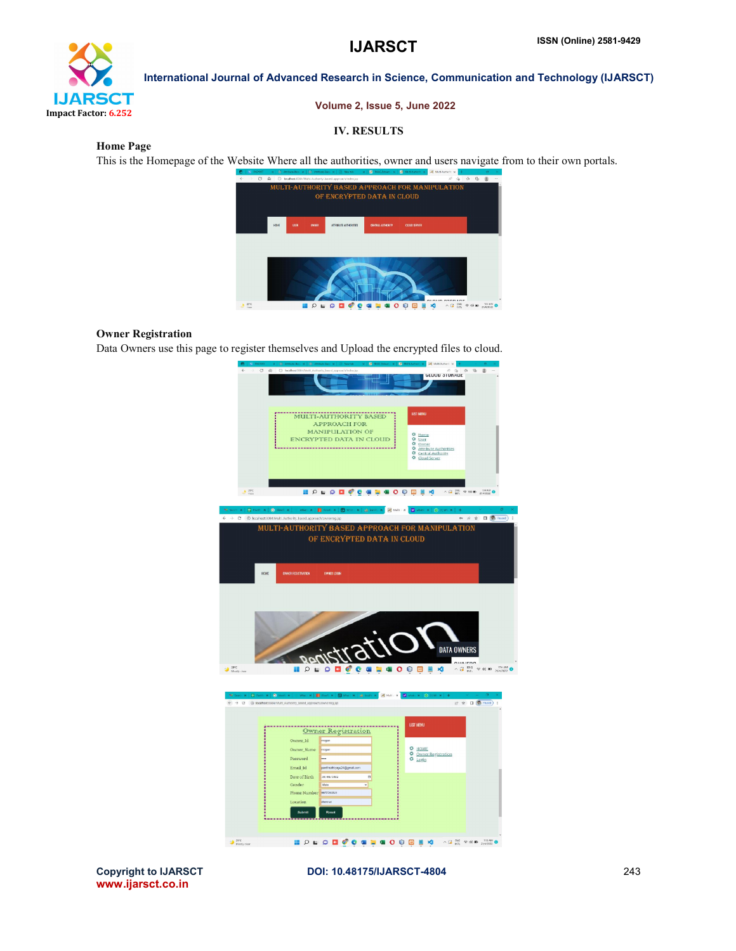

### Volume 2, Issue 5, June 2022

# IV. RESULTS

Home Page

This is the Homepage of the Website Where all the authorities, owner and users navigate from to their own portals.



# Owner Registration

Data Owners use this page to register themselves and Upload the encrypted files to cloud.



www.ijarsct.co.in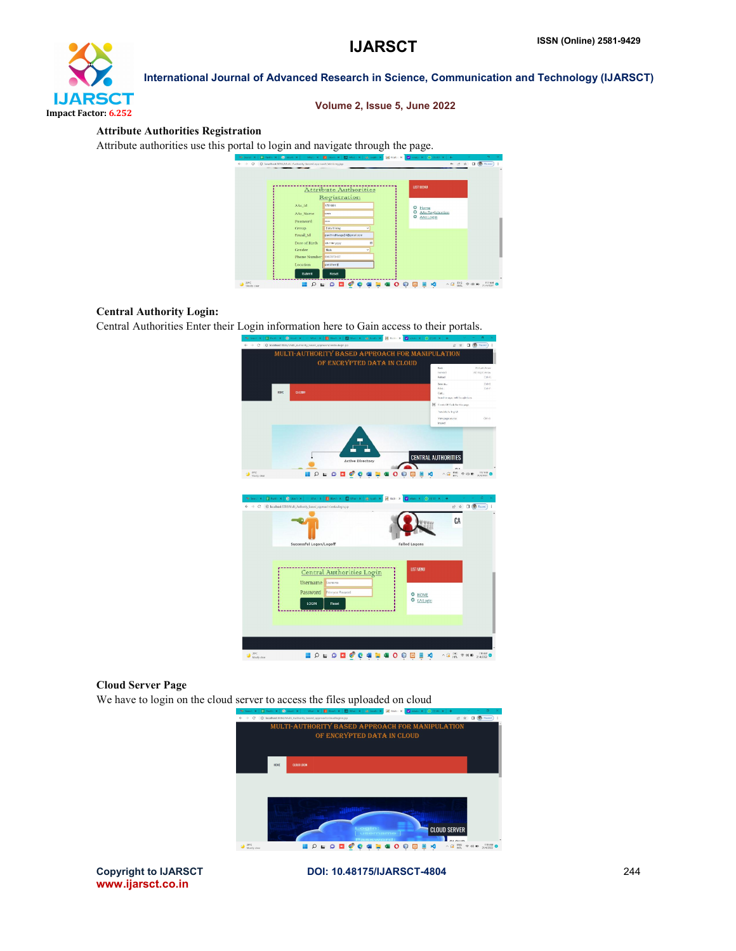

# Volume 2, Issue 5, June 2022

# Attribute Authorities Registration

Attribute authorities use this portal to login and navigate through the page.

|                         | <b>Attribute Authorities</b> | <b>LIST MENU</b>                  |  |
|-------------------------|------------------------------|-----------------------------------|--|
|                         | Registration                 |                                   |  |
| AAs_Id                  | 1701801                      | ۰<br>Home                         |  |
| AAs Name                | im                           | ٥<br><b>AAs Registration</b><br>۰ |  |
| Password                | -                            | <b>AAsLogin</b>                   |  |
| Group                   | Data Mining<br>u             |                                   |  |
| Email Id                | pavitrathkagu24@onal.com     |                                   |  |
| Date of Birth           | č<br>dd/mm/gsys              |                                   |  |
| Gender                  | Moto<br>$\checkmark$         |                                   |  |
| Phone Number 8967873467 |                              |                                   |  |
| Location                | porclinery                   |                                   |  |

# Central Authority Login:

Central Authorities Enter their Login information here to Gain access to their portals.



# Cloud Server Page

We have to login on the cloud server to access the files uploaded on cloud



www.ijarsct.co.in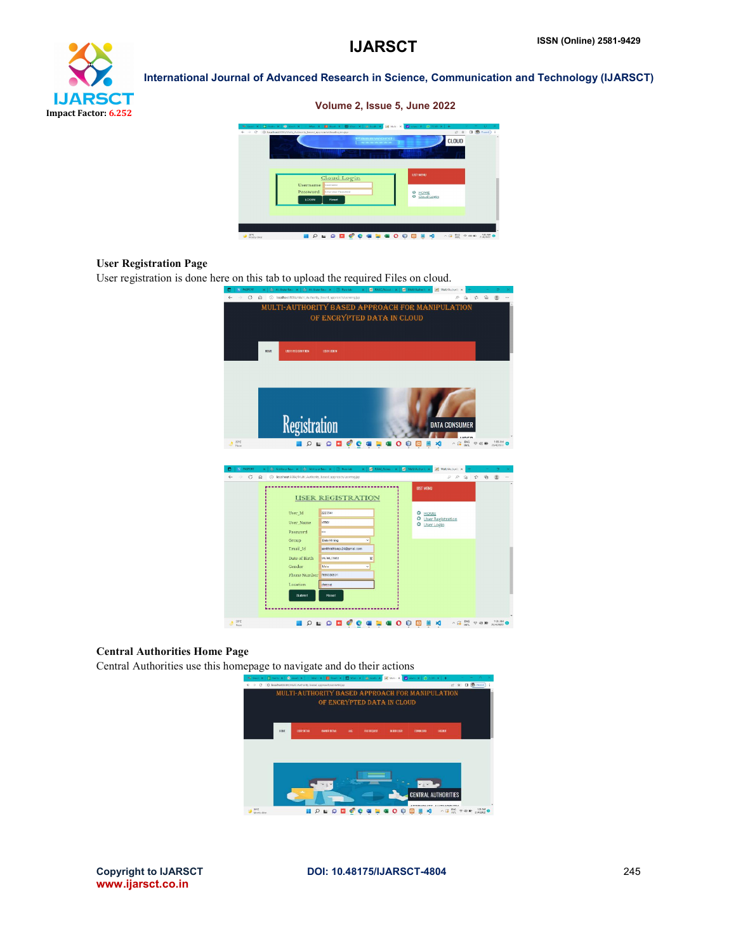

Volume 2, Issue 5, June 2022



# User Registration Page

User registration is done here on this tab to upload the required Files on cloud.



# Central Authorities Home Page

Central Authorities use this homepage to navigate and do their actions



www.ijarsct.co.in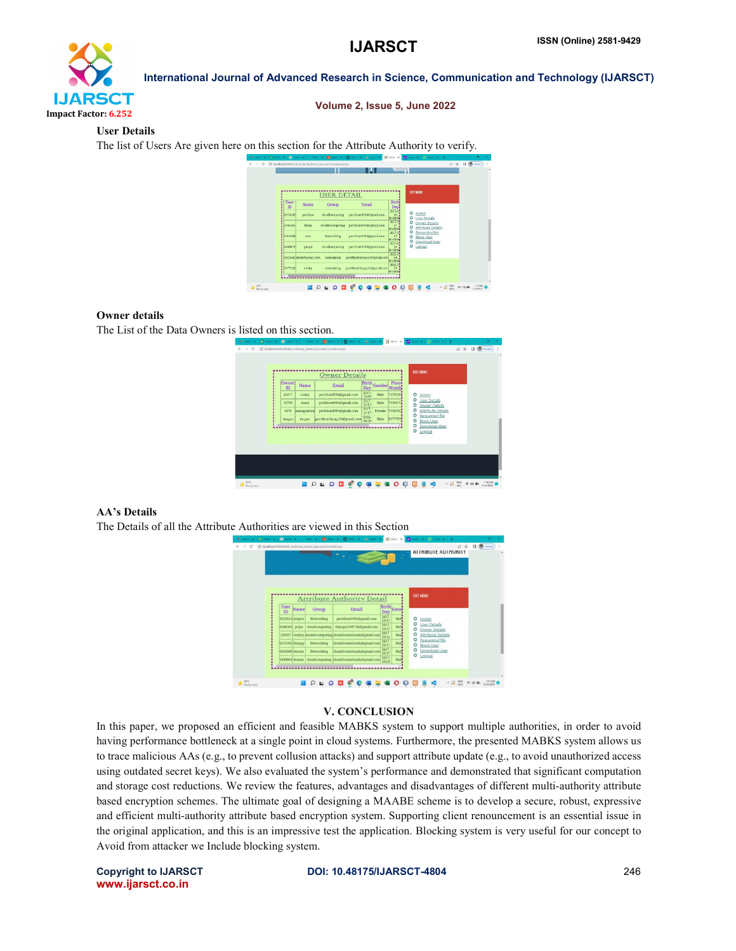

### Volume 2, Issue 5, June 2022

### User Details

The list of Users Are given here on this section for the Attribute Authority to verify.



### Owner details

The List of the Data Owners is listed on this section.

| Owner       | Name       | Owner Details<br>Email      | Birth,               | Gender | Phoni                         |        |                                                  |  |  |
|-------------|------------|-----------------------------|----------------------|--------|-------------------------------|--------|--------------------------------------------------|--|--|
| ID<br>45677 |            |                             | Day<br>2017-         | Male   | Numb <sub>1</sub><br>76393301 |        |                                                  |  |  |
| 56789       | venky      | pavithrat1994@gmail.com     | $\frac{2017}{10-17}$ | Male   | 7639670                       | ۰<br>۰ | HOME<br><b>User Details</b>                      |  |  |
| 5678        | mani       | pavithrat1994@gmail.com     | $\frac{2017}{10.17}$ |        | Female 7638330                | ٥<br>٥ | <b>Owner Details</b><br><b>Attribute Details</b> |  |  |
|             | manigandan | pavithrat1991@gmail.com     |                      |        |                               | ٥      | Requested file                                   |  |  |
| mogan       | mogan      | pavithrathiyagu24@gmail.com | 2022-                | Male   | 9677783                       | ۰<br>۰ | <b>Block User</b><br>Download User               |  |  |
|             |            |                             |                      |        |                               | ۰      | Logout                                           |  |  |
|             |            |                             |                      |        |                               |        |                                                  |  |  |
|             |            |                             |                      |        |                               |        |                                                  |  |  |
|             |            |                             |                      |        |                               |        |                                                  |  |  |
|             |            |                             |                      |        |                               |        |                                                  |  |  |

# AA's Details

The Details of all the Attribute Authorities are viewed in this Section



### V. CONCLUSION

In this paper, we proposed an efficient and feasible MABKS system to support multiple authorities, in order to avoid having performance bottleneck at a single point in cloud systems. Furthermore, the presented MABKS system allows us to trace malicious AAs (e.g., to prevent collusion attacks) and support attribute update (e.g., to avoid unauthorized access using outdated secret keys). We also evaluated the system's performance and demonstrated that significant computation and storage cost reductions. We review the features, advantages and disadvantages of different multi-authority attribute based encryption schemes. The ultimate goal of designing a MAABE scheme is to develop a secure, robust, expressive and efficient multi-authority attribute based encryption system. Supporting client renouncement is an essential issue in the original application, and this is an impressive test the application. Blocking system is very useful for our concept to Avoid from attacker we Include blocking system.

www.ijarsct.co.in